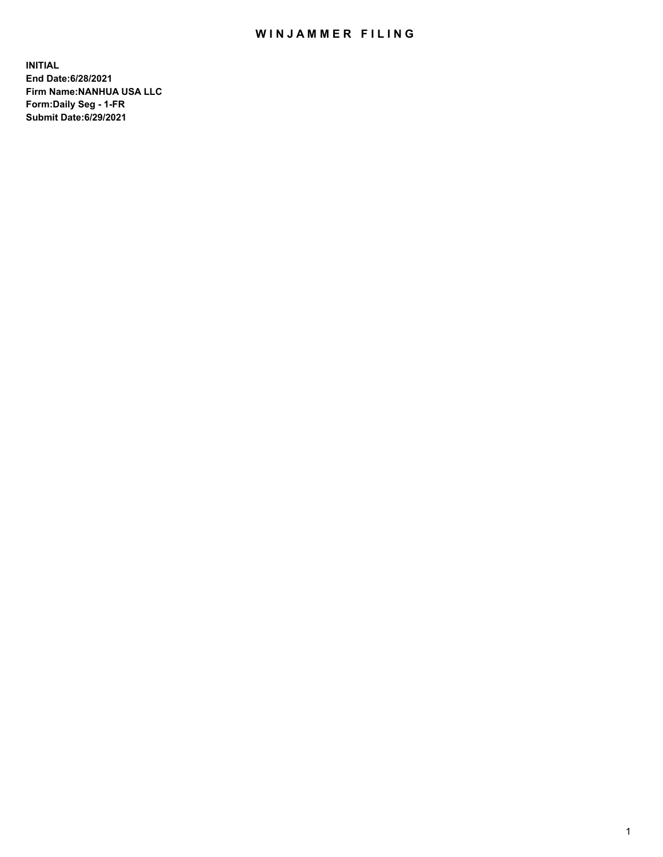## WIN JAMMER FILING

**INITIAL End Date:6/28/2021 Firm Name:NANHUA USA LLC Form:Daily Seg - 1-FR Submit Date:6/29/2021**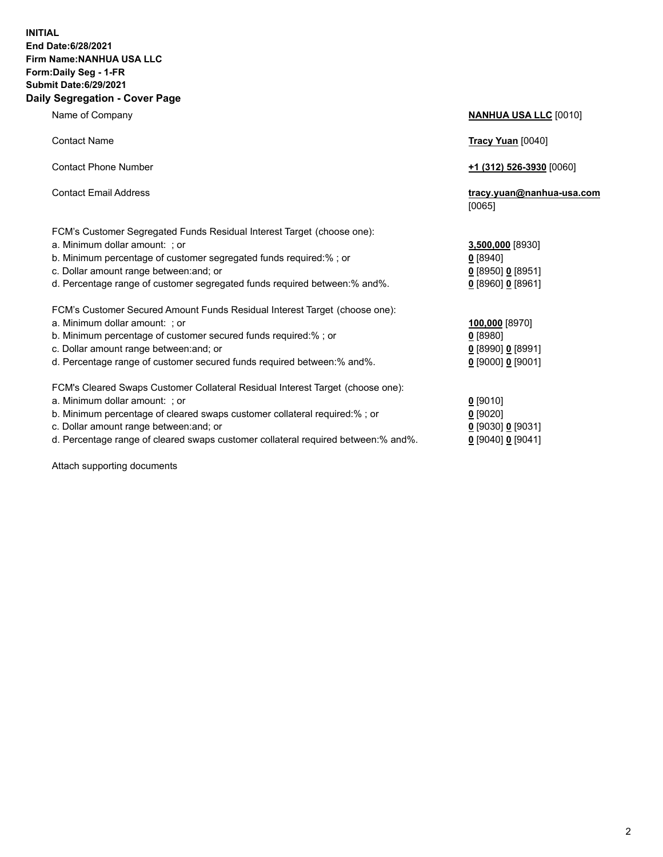## **INITIAL End Date:6/28/2021 Firm Name:NANHUA USA LLC Form:Daily Seg - 1-FR Submit Date:6/29/2021 Daily Segregation - Cover Page**

Name of Company **NANHUA USA LLC** [0010] Contact Name **Tracy Yuan** [0040] Contact Phone Number **+1 (312) 526-3930** [0060] Contact Email Address **tracy.yuan@nanhua-usa.com** [0065] FCM's Customer Segregated Funds Residual Interest Target (choose one): a. Minimum dollar amount: ; or **3,500,000** [8930] b. Minimum percentage of customer segregated funds required:% ; or **0** [8940] c. Dollar amount range between:and; or **0** [8950] **0** [8951] d. Percentage range of customer segregated funds required between:% and%. **0** [8960] **0** [8961] FCM's Customer Secured Amount Funds Residual Interest Target (choose one): a. Minimum dollar amount: ; or **100,000** [8970] b. Minimum percentage of customer secured funds required:% ; or **0** [8980] c. Dollar amount range between:and; or **0** [8990] **0** [8991] d. Percentage range of customer secured funds required between:% and%. **0** [9000] **0** [9001] FCM's Cleared Swaps Customer Collateral Residual Interest Target (choose one): a. Minimum dollar amount: ; or **0** [9010] b. Minimum percentage of cleared swaps customer collateral required:% ; or **0** [9020] c. Dollar amount range between:and; or **0** [9030] **0** [9031]

d. Percentage range of cleared swaps customer collateral required between:% and%. **0** [9040] **0** [9041]

Attach supporting documents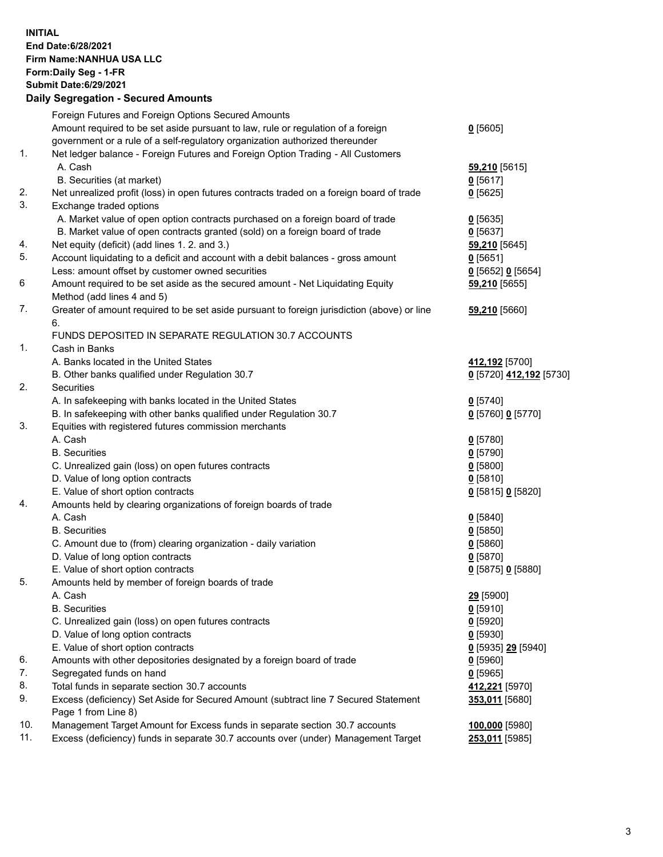**INITIAL End Date:6/28/2021 Firm Name:NANHUA USA LLC Form:Daily Seg - 1-FR Submit Date:6/29/2021**

## **Daily Segregation - Secured Amounts**

|     | Foreign Futures and Foreign Options Secured Amounts                                         |                         |
|-----|---------------------------------------------------------------------------------------------|-------------------------|
|     | Amount required to be set aside pursuant to law, rule or regulation of a foreign            | $0$ [5605]              |
|     | government or a rule of a self-regulatory organization authorized thereunder                |                         |
| 1.  | Net ledger balance - Foreign Futures and Foreign Option Trading - All Customers             |                         |
|     | A. Cash                                                                                     | 59,210 [5615]           |
|     | B. Securities (at market)                                                                   | $0$ [5617]              |
| 2.  | Net unrealized profit (loss) in open futures contracts traded on a foreign board of trade   | $0$ [5625]              |
| 3.  | Exchange traded options                                                                     |                         |
|     | A. Market value of open option contracts purchased on a foreign board of trade              | $0$ [5635]              |
|     | B. Market value of open contracts granted (sold) on a foreign board of trade                | $0$ [5637]              |
| 4.  | Net equity (deficit) (add lines 1. 2. and 3.)                                               | 59,210 [5645]           |
| 5.  | Account liquidating to a deficit and account with a debit balances - gross amount           | $0$ [5651]              |
|     | Less: amount offset by customer owned securities                                            | $0$ [5652] 0 [5654]     |
| 6   | Amount required to be set aside as the secured amount - Net Liquidating Equity              | 59,210 [5655]           |
|     | Method (add lines 4 and 5)                                                                  |                         |
| 7.  | Greater of amount required to be set aside pursuant to foreign jurisdiction (above) or line | 59,210 [5660]           |
|     | 6.                                                                                          |                         |
|     | FUNDS DEPOSITED IN SEPARATE REGULATION 30.7 ACCOUNTS                                        |                         |
| 1.  | Cash in Banks                                                                               |                         |
|     | A. Banks located in the United States                                                       | 412,192 [5700]          |
|     | B. Other banks qualified under Regulation 30.7                                              | 0 [5720] 412,192 [5730] |
| 2.  | Securities                                                                                  |                         |
|     | A. In safekeeping with banks located in the United States                                   | $0$ [5740]              |
|     | B. In safekeeping with other banks qualified under Regulation 30.7                          | 0 [5760] 0 [5770]       |
| 3.  | Equities with registered futures commission merchants                                       |                         |
|     | A. Cash                                                                                     | $0$ [5780]              |
|     | <b>B.</b> Securities                                                                        | $0$ [5790]              |
|     | C. Unrealized gain (loss) on open futures contracts                                         | $0$ [5800]              |
|     | D. Value of long option contracts                                                           | $0$ [5810]              |
|     | E. Value of short option contracts                                                          | 0 [5815] 0 [5820]       |
| 4.  | Amounts held by clearing organizations of foreign boards of trade                           |                         |
|     | A. Cash                                                                                     | 0[5840]                 |
|     | <b>B.</b> Securities                                                                        | $0$ [5850]              |
|     | C. Amount due to (from) clearing organization - daily variation                             | $0$ [5860]              |
|     | D. Value of long option contracts                                                           | $0$ [5870]              |
|     | E. Value of short option contracts                                                          | 0 [5875] 0 [5880]       |
| 5.  | Amounts held by member of foreign boards of trade                                           |                         |
|     | A. Cash                                                                                     | 29 [5900]               |
|     | <b>B.</b> Securities                                                                        | $0$ [5910]              |
|     | C. Unrealized gain (loss) on open futures contracts                                         | $0$ [5920]              |
|     | D. Value of long option contracts                                                           | $0$ [5930]              |
|     | E. Value of short option contracts                                                          | 0 [5935] 29 [5940]      |
| 6.  | Amounts with other depositories designated by a foreign board of trade                      | $0$ [5960]              |
| 7.  | Segregated funds on hand                                                                    | $0$ [5965]              |
| 8.  | Total funds in separate section 30.7 accounts                                               | 412,221 [5970]          |
| 9.  | Excess (deficiency) Set Aside for Secured Amount (subtract line 7 Secured Statement         | 353,011 [5680]          |
|     | Page 1 from Line 8)                                                                         |                         |
| 10. | Management Target Amount for Excess funds in separate section 30.7 accounts                 | 100,000 [5980]          |
| 11. | Excess (deficiency) funds in separate 30.7 accounts over (under) Management Target          | 253,011 [5985]          |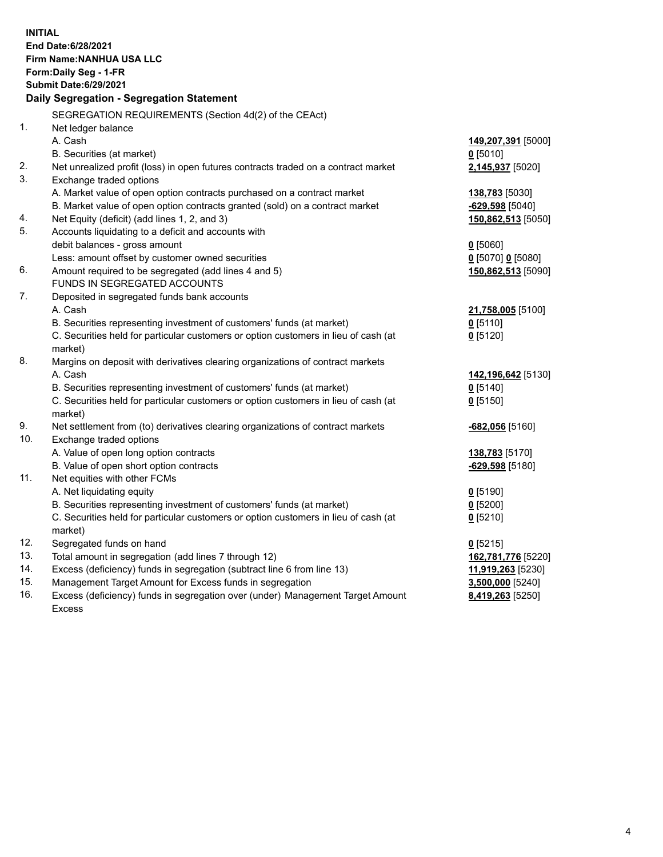| <b>INITIAL</b><br>End Date: 6/28/2021<br>Firm Name: NANHUA USA LLC<br>Form: Daily Seg - 1-FR<br><b>Submit Date:6/29/2021</b><br>Daily Segregation - Segregation Statement |                                                                                                                                                              |                               |  |  |
|---------------------------------------------------------------------------------------------------------------------------------------------------------------------------|--------------------------------------------------------------------------------------------------------------------------------------------------------------|-------------------------------|--|--|
|                                                                                                                                                                           | SEGREGATION REQUIREMENTS (Section 4d(2) of the CEAct)                                                                                                        |                               |  |  |
| 1.                                                                                                                                                                        | Net ledger balance                                                                                                                                           |                               |  |  |
|                                                                                                                                                                           | A. Cash                                                                                                                                                      | 149,207,391 [5000]            |  |  |
|                                                                                                                                                                           | B. Securities (at market)                                                                                                                                    | $0$ [5010]                    |  |  |
| 2.                                                                                                                                                                        | Net unrealized profit (loss) in open futures contracts traded on a contract market                                                                           | 2,145,937 [5020]              |  |  |
| 3.                                                                                                                                                                        | Exchange traded options                                                                                                                                      |                               |  |  |
|                                                                                                                                                                           | A. Market value of open option contracts purchased on a contract market                                                                                      | <b>138,783</b> [5030]         |  |  |
|                                                                                                                                                                           | B. Market value of open option contracts granted (sold) on a contract market                                                                                 | <u>-629,598</u> [5040]        |  |  |
| 4.                                                                                                                                                                        | Net Equity (deficit) (add lines 1, 2, and 3)                                                                                                                 | 150,862,513 [5050]            |  |  |
| 5.                                                                                                                                                                        | Accounts liquidating to a deficit and accounts with                                                                                                          |                               |  |  |
|                                                                                                                                                                           | debit balances - gross amount                                                                                                                                | $0$ [5060]                    |  |  |
|                                                                                                                                                                           | Less: amount offset by customer owned securities                                                                                                             | 0 [5070] 0 [5080]             |  |  |
| 6.                                                                                                                                                                        | Amount required to be segregated (add lines 4 and 5)                                                                                                         | 150,862,513 [5090]            |  |  |
| 7.                                                                                                                                                                        | FUNDS IN SEGREGATED ACCOUNTS                                                                                                                                 |                               |  |  |
|                                                                                                                                                                           | Deposited in segregated funds bank accounts<br>A. Cash                                                                                                       |                               |  |  |
|                                                                                                                                                                           |                                                                                                                                                              | 21,758,005 [5100]             |  |  |
|                                                                                                                                                                           | B. Securities representing investment of customers' funds (at market)<br>C. Securities held for particular customers or option customers in lieu of cash (at | $0$ [5110]                    |  |  |
|                                                                                                                                                                           | market)                                                                                                                                                      | $0$ [5120]                    |  |  |
| 8.                                                                                                                                                                        | Margins on deposit with derivatives clearing organizations of contract markets                                                                               |                               |  |  |
|                                                                                                                                                                           | A. Cash                                                                                                                                                      | 142,196,642 <sup>[5130]</sup> |  |  |
|                                                                                                                                                                           | B. Securities representing investment of customers' funds (at market)                                                                                        | $0$ [5140]                    |  |  |
|                                                                                                                                                                           | C. Securities held for particular customers or option customers in lieu of cash (at                                                                          | $0$ [5150]                    |  |  |
|                                                                                                                                                                           | market)                                                                                                                                                      |                               |  |  |
| 9.                                                                                                                                                                        | Net settlement from (to) derivatives clearing organizations of contract markets                                                                              | <u>-682,056</u> [5160]        |  |  |
| 10.                                                                                                                                                                       | Exchange traded options                                                                                                                                      |                               |  |  |
|                                                                                                                                                                           | A. Value of open long option contracts                                                                                                                       | <b>138,783</b> [5170]         |  |  |
|                                                                                                                                                                           | B. Value of open short option contracts                                                                                                                      | -629,598 [5180]               |  |  |
| 11.                                                                                                                                                                       | Net equities with other FCMs                                                                                                                                 |                               |  |  |
|                                                                                                                                                                           | A. Net liquidating equity                                                                                                                                    | $0$ [5190]                    |  |  |
|                                                                                                                                                                           | B. Securities representing investment of customers' funds (at market)                                                                                        | $0$ [5200]                    |  |  |
|                                                                                                                                                                           | C. Securities held for particular customers or option customers in lieu of cash (at                                                                          | $0$ [5210]                    |  |  |
|                                                                                                                                                                           | market)                                                                                                                                                      |                               |  |  |
| 12.                                                                                                                                                                       | Segregated funds on hand                                                                                                                                     | $0$ [5215]                    |  |  |
| 13.                                                                                                                                                                       | Total amount in segregation (add lines 7 through 12)                                                                                                         | 162,781,776 [5220]            |  |  |
| 14.                                                                                                                                                                       | Excess (deficiency) funds in segregation (subtract line 6 from line 13)                                                                                      | 11,919,263 [5230]             |  |  |
| 15.                                                                                                                                                                       | Management Target Amount for Excess funds in segregation                                                                                                     | 3,500,000 [5240]              |  |  |
| 16.                                                                                                                                                                       | Excess (deficiency) funds in segregation over (under) Management Target Amount                                                                               | 8,419,263 [5250]              |  |  |
|                                                                                                                                                                           | <b>Excess</b>                                                                                                                                                |                               |  |  |